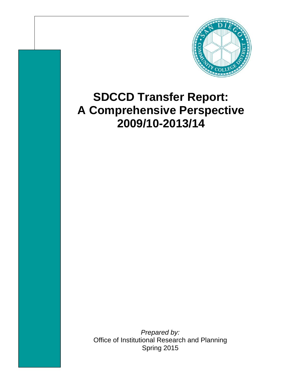

# **SDCCD Transfer Report: A Comprehensive Perspective 2009/10-2013/14**

*Prepared by:*  Office of Institutional Research and Planning Spring 2015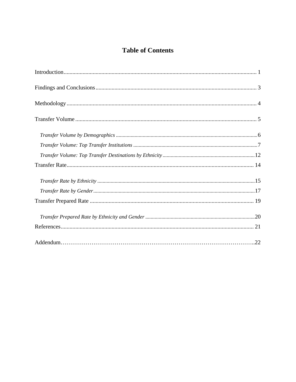# **Table of Contents**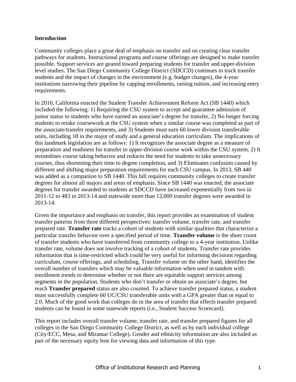#### **Introduction**

Community colleges place a great deal of emphasis on transfer and on creating clear transfer pathways for students. Instructional programs and course offerings are designed to make transfer possible. Support services are geared toward preparing students for transfer and upper-division level studies. The San Diego Community College District (SDCCD) continues to track transfer students and the impact of changes in the environment (e.g. budget changes), the 4-year institutions narrowing their pipeline by capping enrollments, raising tuition, and increasing entry requirements.

In 2010, California enacted the Student Transfer Achievement Reform Act (SB 1440) which included the following: 1) Requiring the CSU system to accept and guarantee admission of junior status to students who have earned an associate's degree for transfer, 2) No longer forcing students to retake coursework at the CSU system when a similar course was completed as part of the associate/transfer requirements, and 3) Students must earn 60 lower division transferable units, including 18 in the major of study and a general education curriculum. The implications of this landmark legislation are as follows: 1) It recognizes the associate degree as a measure of preparation and readiness for transfer to upper-division course work within the CSU system, 2) It streamlines course taking behavior and reduces the need for students to take unnecessary courses, thus shortening their time to degree completion, and 3) Eliminates confusion caused by different and shifting major preparation requirements for each CSU campus. In 2013, SB 440 was added as a companion to SB 1440. This bill requires community colleges to create transfer degrees for almost all majors and areas of emphasis. Since SB 1440 was enacted, the associate degrees for transfer awarded to students at SDCCD have increased exponentially from two in 2011-12 to 483 in 2013-14 and statewide more than 12,000 transfer degrees were awarded in 2013-14.

Given the importance and emphasis on transfer, this report provides an examination of student transfer patterns from three different perspectives: transfer volume, transfer rate, and transfer prepared rate. **Transfer rate** tracks a cohort of students with similar qualities that characterize a particular transfer behavior over a specified period of time. **Transfer volume** is the sheer count of transfer students who have transferred from community college to a 4-year institution. Unlike transfer rate, volume does not involve tracking of a cohort of students. Transfer rate provides information that is time-restricted which could be very useful for informing decisions regarding curriculum, course offerings, and scheduling. Transfer volume on the other hand, identifies the overall number of transfers which may be valuable information when used in tandem with enrollment trends to determine whether or not there are equitable support services among segments in the population. Students who don't transfer or obtain an associate's degree, but reach **Transfer prepared** status are also counted. To achieve transfer prepared status, a student must successfully complete 60 UC/CSU transferable units with a GPA greater than or equal to 2.0. Much of the good work that colleges do in the area of transfer that effects transfer prepared students can be found in some statewide reports (i.e., Student Success Scorecard).

This report includes overall transfer volume, transfer rate, and transfer prepared figures for all colleges in the San Diego Community College District, as well as by each individual college (City/ECC, Mesa, and Miramar College). Gender and ethnicity information are also included as part of the necessary equity lens for viewing data and information of this type.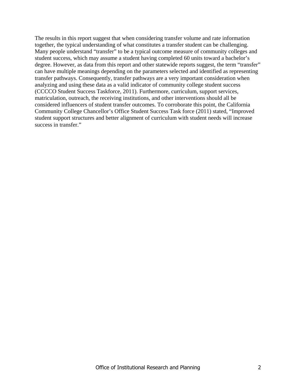The results in this report suggest that when considering transfer volume and rate information together, the typical understanding of what constitutes a transfer student can be challenging. Many people understand "transfer" to be a typical outcome measure of community colleges and student success, which may assume a student having completed 60 units toward a bachelor's degree. However, as data from this report and other statewide reports suggest, the term "transfer" can have multiple meanings depending on the parameters selected and identified as representing transfer pathways. Consequently, transfer pathways are a very important consideration when analyzing and using these data as a valid indicator of community college student success (CCCCO Student Success Taskforce, 2011). Furthermore, curriculum, support services, matriculation, outreach, the receiving institutions, and other interventions should all be considered influencers of student transfer outcomes. To corroborate this point, the California Community College Chancellor's Office Student Success Task force (2011) stated, "Improved student support structures and better alignment of curriculum with student needs will increase success in transfer."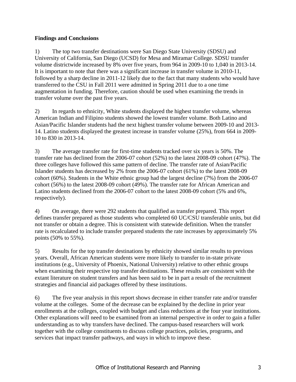## **Findings and Conclusions**

1) The top two transfer destinations were San Diego State University (SDSU) and University of California, San Diego (UCSD) for Mesa and Miramar College. SDSU transfer volume districtwide increased by 8% over five years, from 964 in 2009-10 to 1,040 in 2013-14. It is important to note that there was a significant increase in transfer volume in 2010-11, followed by a sharp decline in 2011-12 likely due to the fact that many students who would have transferred to the CSU in Fall 2011 were admitted in Spring 2011 due to a one time augmentation in funding. Therefore, caution should be used when examining the trends in transfer volume over the past five years.

2) In regards to ethnicity, White students displayed the highest transfer volume, whereas American Indian and Filipino students showed the lowest transfer volume. Both Latino and Asian/Pacific Islander students had the next highest transfer volume between 2009-10 and 2013- 14. Latino students displayed the greatest increase in transfer volume (25%), from 664 in 2009- 10 to 830 in 2013-14.

3) The average transfer rate for first-time students tracked over six years is 50%. The transfer rate has declined from the 2006-07 cohort (52%) to the latest 2008-09 cohort (47%). The three colleges have followed this same pattern of decline. The transfer rate of Asian/Pacific Islander students has decreased by 2% from the 2006-07 cohort (61%) to the latest 2008-09 cohort (60%). Students in the White ethnic group had the largest decline (7%) from the 2006-07 cohort (56%) to the latest 2008-09 cohort (49%). The transfer rate for African American and Latino students declined from the 2006-07 cohort to the latest 2008-09 cohort (5% and 6%, respectively).

4) On average, there were 292 students that qualified as transfer prepared. This report defines transfer prepared as those students who completed 60 UC/CSU transferable units, but did not transfer or obtain a degree. This is consistent with statewide definition. When the transfer rate is recalculated to include transfer prepared students the rate increases by approximately 5% points (50% to 55%).

5) Results for the top transfer destinations by ethnicity showed similar results to previous years. Overall, African American students were more likely to transfer to in-state private institutions (e.g., University of Phoenix, National University) relative to other ethnic groups when examining their respective top transfer destinations. These results are consistent with the extant literature on student transfers and has been said to be in part a result of the recruitment strategies and financial aid packages offered by these institutions.

6) The five year analysis in this report shows decrease in either transfer rate and/or transfer volume at the colleges. Some of the decrease can be explained by the decline in prior year enrollments at the colleges, coupled with budget and class reductions at the four year institutions. Other explanations will need to be examined from an internal perspective in order to gain a fuller understanding as to why transfers have declined. The campus-based researchers will work together with the college constituents to discuss college practices, policies, programs, and services that impact transfer pathways, and ways in which to improve these.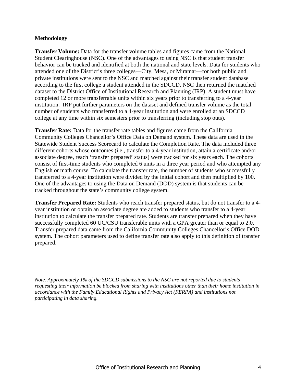#### **Methodology**

**Transfer Volume:** Data for the transfer volume tables and figures came from the National Student Clearinghouse (NSC). One of the advantages to using NSC is that student transfer behavior can be tracked and identified at both the national and state levels. Data for students who attended one of the District's three colleges—City, Mesa, or Miramar—for both public and private institutions were sent to the NSC and matched against their transfer student database according to the first college a student attended in the SDCCD. NSC then returned the matched dataset to the District Office of Institutional Research and Planning (IRP). A student must have completed 12 or more transferrable units within six years prior to transferring to a 4-year institution. IRP put further parameters on the dataset and defined transfer volume as the total number of students who transferred to a 4-year institution and were enrolled at an SDCCD college at any time within six semesters prior to transferring (including stop outs).

**Transfer Rate:** Data for the transfer rate tables and figures came from the California Community Colleges Chancellor's Office Data on Demand system. These data are used in the Statewide Student Success Scorecard to calculate the Completion Rate. The data included three different cohorts whose outcomes (i.e., transfer to a 4-year institution, attain a certificate and/or associate degree, reach 'transfer prepared' status) were tracked for six years each. The cohorts consist of first-time students who completed 6 units in a three year period and who attempted any English or math course. To calculate the transfer rate, the number of students who successfully transferred to a 4-year institution were divided by the initial cohort and then multiplied by 100. One of the advantages to using the Data on Demand (DOD) system is that students can be tracked throughout the state's community college system.

**Transfer Prepared Rate:** Students who reach transfer prepared status, but do not transfer to a 4 year institution or obtain an associate degree are added to students who transfer to a 4-year institution to calculate the transfer prepared rate. Students are transfer prepared when they have successfully completed 60 UC/CSU transferable units with a GPA greater than or equal to 2.0. Transfer prepared data came from the California Community Colleges Chancellor's Office DOD system. The cohort parameters used to define transfer rate also apply to this definition of transfer prepared.

*Note. Approximately 1% of the SDCCD submissions to the NSC are not reported due to students requesting their information be blocked from sharing with institutions other than their home institution in accordance with the Family Educational Rights and Privacy Act (FERPA) and institutions not participating in data sharing.*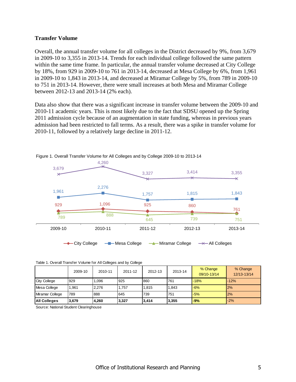#### **Transfer Volume**

Overall, the annual transfer volume for all colleges in the District decreased by 9%, from 3,679 in 2009-10 to 3,355 in 2013-14. Trends for each individual college followed the same pattern within the same time frame. In particular, the annual transfer volume decreased at City College by 18%, from 929 in 2009-10 to 761 in 2013-14, decreased at Mesa College by 6%, from 1,961 in 2009-10 to 1,843 in 2013-14, and decreased at Miramar College by 5%, from 789 in 2009-10 to 751 in 2013-14. However, there were small increases at both Mesa and Miramar College between 2012-13 and 2013-14 (2% each).

Data also show that there was a significant increase in transfer volume between the 2009-10 and 2010-11 academic years. This is most likely due to the fact that SDSU opened up the Spring 2011 admission cycle because of an augmentation in state funding, whereas in previous years admission had been restricted to fall terms. As a result, there was a spike in transfer volume for 2010-11, followed by a relatively large decline in 2011-12.



Figure 1. Overall Transfer Volume for All Colleges and by College 2009-10 to 2013-14

|  |  |  |  |  | Table 1. Overall Transfer Volume for All Colleges and by College |  |  |
|--|--|--|--|--|------------------------------------------------------------------|--|--|
|--|--|--|--|--|------------------------------------------------------------------|--|--|

|                     | 2009-10 | 2010-11 | 2011-12 | 2012-13 | 2013-14 | % Change<br>09/10-13/14 | % Change<br>12/13-13/14 |
|---------------------|---------|---------|---------|---------|---------|-------------------------|-------------------------|
| <b>City College</b> | 929     | .096    | 925     | 860     | 761     | $-18%$                  | $-12%$                  |
| Mesa College        | 1.961   | 2.276   | 1,757   | 1.815   | .843    | $-6%$                   | 2%                      |
| Miramar College     | 789     | 888     | 645     | 739     | 751     | $-5%$                   | 2%                      |
| All Colleges        | 3,679   | 4,260   | 3,327   | 3.414   | 3,355   | $-9%$                   | $-2%$                   |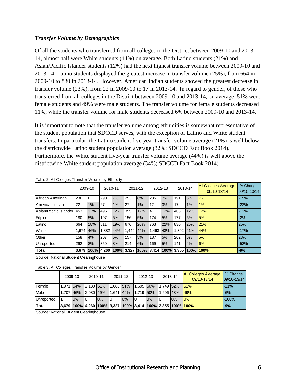#### *Transfer Volume by Demographics*

Of all the students who transferred from all colleges in the District between 2009-10 and 2013- 14, almost half were White students (44%) on average. Both Latino students (21%) and Asian/Pacific Islander students (12%) had the next highest transfer volume between 2009-10 and 2013-14. Latino students displayed the greatest increase in transfer volume (25%), from 664 in 2009-10 to 830 in 2013-14. However, American Indian students showed the greatest decrease in transfer volume (23%), from 22 in 2009-10 to 17 in 2013-14. In regard to gender, of those who transferred from all colleges in the District between 2009-10 and 2013-14, on average, 51% were female students and 49% were male students. The transfer volume for female students decreased 11%, while the transfer volume for male students decreased 6% between 2009-10 and 2013-14.

It is important to note that the transfer volume among ethnicities is somewhat representative of the student population that SDCCD serves, with the exception of Latino and White student transfers. In particular, the Latino student five-year transfer volume average (21%) is well below the districtwide Latino student population average (32%; SDCCD Fact Book 2014). Furthermore, the White student five-year transfer volume average (44%) is well above the districtwide White student population average (34%; SDCCD Fact Book 2014).

|                        | 2009-10 |            |      | 2010-11    |      | 2011-12 |      | 2012-13 |                              | 2013-14 | <b>All Colleges Average</b><br>09/10-13/14 | % Change<br>09/10-13/14 |
|------------------------|---------|------------|------|------------|------|---------|------|---------|------------------------------|---------|--------------------------------------------|-------------------------|
| African American       | 236     | 0          | 290  | 7%         | 253  | 8%      | 235  | 7%      | 191                          | 6%      | 7%                                         | $-19%$                  |
| American Indian        | 22      | 1%         | 27   | 1%         | 27   | 1%      | 12   | 0%      | 17                           | $1\%$   | 1%                                         | $-23%$                  |
| Asian/Pacific Islander | 453     | 12%        | 496  | 12%        | 395  | 12%     | 411  | 12%     | 405                          | 12%     | 12%                                        | $-11%$                  |
| Filipino               | 180     | 5%         | 197  | 5%         | 156  | 5%      | 174  | 5%      | 177                          | 5%      | 5%                                         | $-2%$                   |
| Latino                 | 664     | 18%        | 811  | 19%        | 676  | 20%     | 763  | 22%     | 830                          | 25%     | 21%                                        | 25%                     |
| White                  | 1.674   | 46%        | .882 | 44%        | .449 | 44%     | .463 | 43%     | 1.392                        | 41%     | 44%                                        | $-17%$                  |
| Other                  | 158     | 4%         | 207  | 5%         | 157  | 5%      | 187  | 5%      | 202                          | 6%      | 5%                                         | 28%                     |
| Unreported             | 292     | 8%         | 350  | 8%         | 214  | 6%      | 169  | 5%      | 141                          | 4%      | 6%                                         | $-52%$                  |
| <b>Total</b>           | 3,679   | 100% 4.260 |      | 100% 3.327 |      |         |      |         | 100% 3.414  100% 3.355  100% |         | 100%                                       | $-9%$                   |

Table 2. All Colleges Transfer Volume by Ethnicity

Source: National Student Clearinghouse

Table 3. All Colleges Transfer Volume by Gender

|            |           | 2009-10 | 2010-11   |                                                                                    |           | 2011-12 | 2012-13   |    | 2013-14   |          | <b>All Colleges Average</b><br>09/10-13/14 | % Change<br>09/10-13/14 |
|------------|-----------|---------|-----------|------------------------------------------------------------------------------------|-----------|---------|-----------|----|-----------|----------|--------------------------------------------|-------------------------|
| Female     | 1.971     | 54%     | 2.180 51% |                                                                                    | 1.686 51% |         | 1.695 50% |    | 1.749 52% |          | 151%                                       | $-11%$                  |
| Male       | 1.707 46% |         | 2.080 49% |                                                                                    | 1.641     | 49%     | 1.719 50% |    |           | .606 48% | 49%                                        | $-6%$                   |
| Unreported |           | 10%     | 0         | 10%                                                                                |           | 0%      | 10        | 0% | 10        | 10%      | 0%                                         | $-100%$                 |
| Total      |           |         |           | 3.679  100%  4.260  100%  3.327  100%  3.414  100%  3.355  100% <mark> 100%</mark> |           |         |           |    |           |          |                                            | $-9%$                   |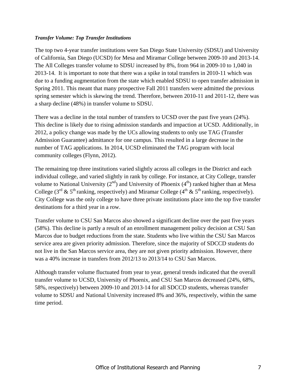#### *Transfer Volume: Top Transfer Institutions*

The top two 4-year transfer institutions were San Diego State University (SDSU) and University of California, San Diego (UCSD) for Mesa and Miramar College between 2009-10 and 2013-14. The All Colleges transfer volume to SDSU increased by 8%, from 964 in 2009-10 to 1,040 in 2013-14. It is important to note that there was a spike in total transfers in 2010-11 which was due to a funding augmentation from the state which enabled SDSU to open transfer admission in Spring 2011. This meant that many prospective Fall 2011 transfers were admitted the previous spring semester which is skewing the trend. Therefore, between 2010-11 and 2011-12, there was a sharp decline (48%) in transfer volume to SDSU.

There was a decline in the total number of transfers to UCSD over the past five years (24%). This decline is likely due to rising admission standards and impaction at UCSD. Additionally, in 2012, a policy change was made by the UCs allowing students to only use TAG (Transfer Admission Guarantee) admittance for one campus. This resulted in a large decrease in the number of TAG applications. In 2014, UCSD eliminated the TAG program with local community colleges (Flynn, 2012).

The remaining top three institutions varied slightly across all colleges in the District and each individual college, and varied slightly in rank by college. For instance, at City College, transfer volume to National University  $(2<sup>nd</sup>)$  and University of Phoenix  $(4<sup>th</sup>)$  ranked higher than at Mesa College (3<sup>rd</sup> & 5<sup>th</sup> ranking, respectively) and Miramar College (4<sup>th</sup> & 5<sup>th</sup> ranking, respectively). City College was the only college to have three private institutions place into the top five transfer destinations for a third year in a row.

Transfer volume to CSU San Marcos also showed a significant decline over the past five years (58%). This decline is partly a result of an enrollment management policy decision at CSU San Marcos due to budget reductions from the state. Students who live within the CSU San Marcos service area are given priority admission. Therefore, since the majority of SDCCD students do not live in the San Marcos service area, they are not given priority admission. However, there was a 40% increase in transfers from 2012/13 to 2013/14 to CSU San Marcos.

Although transfer volume fluctuated from year to year, general trends indicated that the overall transfer volume to UCSD, University of Phoenix, and CSU San Marcos decreased (24%, 68%, 58%, respectively) between 2009-10 and 2013-14 for all SDCCD students, whereas transfer volume to SDSU and National University increased 8% and 36%, respectively, within the same time period.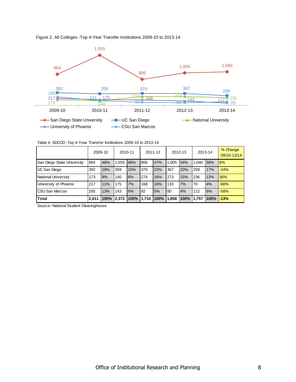

Figure 2. All Colleges -Top 4-Year Transfer Institutions 2009-10 to 2013-14

Table 4. SDCCD -Top 4-Year Transfer Institutions 2009-10 to 2013-14

|                            | 2009-10 |         | 2010-11 |             | 2011-12 |      | 2012-13 |      | 2013-14 |      | % Change<br>09/10-13/14 |
|----------------------------|---------|---------|---------|-------------|---------|------|---------|------|---------|------|-------------------------|
| San Diego State University | 964     | 48%     | 1.555   | 66%         | 806     | 47%  | 1.005   | 54%  | 1.040   | 59%  | 8%                      |
| UC San Diego               | 392     | 19%     | 359     | 15%         | 370     | 22%  | 367     | 20%  | 299     | 17%  | $-24%$                  |
| National University        | 173     | 9%      | 140     | 6%          | 274     | 16%  | 273     | 15%  | 236     | 13%  | 36%                     |
| University of Phoenix      | 217     | 11%     | 175     | 7%          | 168     | 10%  | 133     | 7%   | 70      | 4%   | $-68%$                  |
| <b>CSU San Marcos</b>      | 265     | 13%     | 143     | 6%          | 92      | 5%   | 80      | 4%   | 112     | 6%   | $-58%$                  |
| <b>Total</b>               | 2.011   | $100\%$ | 2.372   | 100% 11.710 |         | 100% | 1,858   | 100% | 1.757   | 100% | $-13%$                  |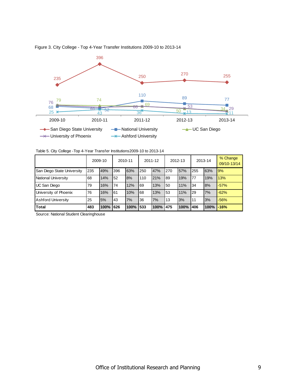

Figure 3. City College - Top 4-Year Transfer Institutions 2009-10 to 2013-14

Table 5. City College -Top 4-Year Transfer Institutions2009-10 to 2013-14

|                            | 2009-10 |      | 2010-11 |      | 2011-12 |      | 2012-13 |      | 2013-14 |      | % Change<br>09/10-13/14 |
|----------------------------|---------|------|---------|------|---------|------|---------|------|---------|------|-------------------------|
| San Diego State University | 235     | 49%  | 396     | 63%  | 250     | 47%  | 270     | 57%  | 255     | 63%  | 9%                      |
| National University        | 68      | 14%  | 52      | 8%   | 110     | 21%  | 89      | 19%  | 77      | 19%  | 13%                     |
| UC San Diego               | 79      | 16%  | 74      | 12%  | 69      | 13%  | 50      | 11%  | '34     | 8%   | $-57%$                  |
| University of Phoenix      | 76      | 16%  | 61      | 10%  | 68      | 13%  | 53      | 11%  | 29      | 7%   | $-62%$                  |
| <b>Ashford University</b>  | 25      | 5%   | 43      | 7%   | 36      | 7%   | 13      | 3%   | 11      | 3%   | $-56%$                  |
| <b>Total</b>               | 483     | 100% | 626     | 100% | 1533    | 100% | 475     | 100% | 1406    | 100% | $-16%$                  |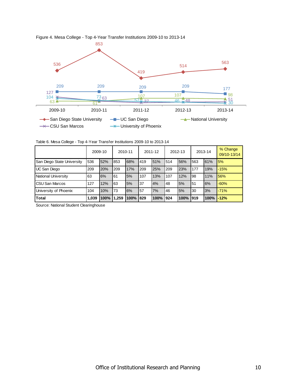

Figure 4. Mesa College - Top 4-Year Transfer Institutions 2009-10 to 2013-14

Table 6. Mesa College - Top 4-Year Transfer Institutions 2009-10 to 2013-14

|                            | 2009-10 |      | 2010-11 |      | 2011-12 |      | 2012-13 |          | 2013-14 |      | % Change<br>09/10-13/14 |
|----------------------------|---------|------|---------|------|---------|------|---------|----------|---------|------|-------------------------|
| San Diego State University | 536     | 52%  | 853     | 68%  | 419     | 51%  | 514     | 56%      | 563     | 61%  | 5%                      |
| UC San Diego               | 209     | 20%  | 209     | 17%  | 209     | 25%  | 209     | 23%      | 177     | 19%  | $-15%$                  |
| National University        | 63      | 6%   | 161     | 5%   | 107     | 13%  | 107     | 12%      | 98      | 11%  | 56%                     |
| <b>CSU San Marcos</b>      | 127     | 12%  | 63      | 5%   | 37      | 4%   | 48      | 5%       | 51      | 6%   | $-60%$                  |
| University of Phoenix      | 104     | 10%  | 173     | 6%   | 57      | 7%   | 46      | 5%       | 30      | 3%   | $-71%$                  |
| Total                      | 1,039   | 100% | 1,259   | 100% | 829     | 100% | 1924    | 100% 919 |         | 100% | $-12%$                  |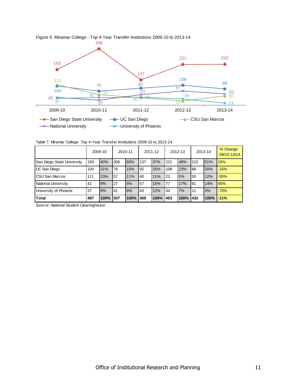

Figure 5. Miramar College - Top 4-Year Transfer Institutions 2009-10 to 2013-14

Table 7. Miramar College -Top 4-Year Transfer Institutions 2009-10 to 2013-14

|                            | 2009-10 |          | 2010-11 |      | 2011-12 |      | 2012-13 |      | 2013-14 |              | % Change<br>09/10-13/14 |
|----------------------------|---------|----------|---------|------|---------|------|---------|------|---------|--------------|-------------------------|
| San Diego State University | 193     | 40%      | 306     | 60%  | 137     | 37%  | 221     | 48%  | 222     | 51%          | 15%                     |
| UC San Diego               | 104     | 21%      | 76      | 15%  | 92      | 25%  | 108     | 23%  | 88      | 20%          | $-15%$                  |
| <b>CSU San Marcos</b>      | 111     | 23%      | 57      | 11%  | 40      | 11%  | 23      | 5%   | 50      | 12%          | $-55%$                  |
| National University        | 42      | 9%       | 27      | 5%   | 57      | 15%  | 77      | 17%  | 61      | 14%          | 45%                     |
| University of Phoenix      | 37      | 8%       | 41      | 8%   | 43      | 12%  | 34      | 7%   | 11      | 3%           | $-70%$                  |
| <b>Total</b>               | 487     | 100% 507 |         | 100% | 369     | 100% | 463     | 100% | 432     | $100\%$ -11% |                         |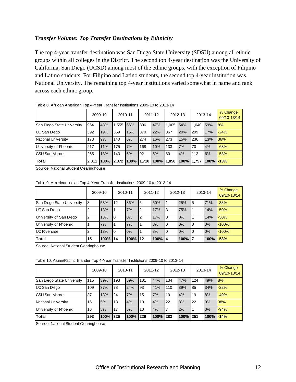### *Transfer Volume: Top Transfer Destinations by Ethnicity*

The top 4-year transfer destination was San Diego State University (SDSU) among all ethnic groups within all colleges in the District. The second top 4-year destination was the University of California, San Diego (UCSD) among most of the ethnic groups, with the exception of Filipino and Latino students. For Filipino and Latino students, the second top 4-year institution was National University. The remaining top 4-year institutions varied somewhat in name and rank across each ethnic group.

|                            |       | 2009-10    |       | 2010-11    |      | 2011-12 |       | 2012-13 |       | 2013-14 | % Change<br>09/10-13/14 |
|----------------------------|-------|------------|-------|------------|------|---------|-------|---------|-------|---------|-------------------------|
| San Diego State University | 964   | 48%        | 1.555 | 66%        | 806  | 47%     | 1.005 | 54%     | 1.040 | 59%     | 8%                      |
| UC San Diego               | 392   | 19%        | 359   | 15%        | 370  | 22%     | 367   | 20%     | 299   | 17%     | $-24%$                  |
| National University        | 173   | 9%         | 140   | 6%         | 1274 | 16%     | 273   | 15%     | 236   | 13%     | 36%                     |
| University of Phoenix      | 217   | 11%        | 175   | 7%         | 168  | 10%     | 133   | 7%      | 70    | 4%      | $-68%$                  |
| <b>CSU San Marcos</b>      | 265   | 13%        | 143   | 6%         | 92   | 5%      | 80    | 4%      | 112   | 6%      | $-58%$                  |
| Total                      | 2,011 | 100% 2.372 |       | 100% 1.710 |      | 100%    | 1,858 | 100%    | 1,757 | $100\%$ | $-13%$                  |

#### Table 8. African American Top 4-Year Transfer Institutions 2009-10 to 2013-14

Source: National Student Clearinghouse

Table 9. American Indian Top 4-Year Transfer Institutions 2009-10 to 2013-14

|                            |    | 2009-10 |                | 2010-11 |     | 2011-12 |    | 2012-13 |          | 2013-14 | % Change<br>09/10-13/14 |
|----------------------------|----|---------|----------------|---------|-----|---------|----|---------|----------|---------|-------------------------|
| San Diego State University | 18 | 53%     | 12             | 86%     | l6  | 50%     |    | 25%     | 5        | 71%     | $-38%$                  |
| <b>UC San Diego</b>        |    | 13%     |                | 7%      | l2  | 17%     | 3  | 75%     |          | 14%     | $-50%$                  |
| University of San Diego    |    | 13%     | $\overline{0}$ | 0%      | l2  | 17%     | 0  | 0%      |          | 14%     | $-50%$                  |
| University of Phoenix      |    | 7%      |                | 7%      |     | 8%      | 0  | 0%      | I0       | 0%      | $-100%$                 |
| <b>UC Riverside</b>        |    | 13%     | 0              | 0%      |     | 8%      | 0  | 0%      | $\Omega$ | 0%      | $-100%$                 |
| <b>Total</b>               | 15 | 100%    | 14             | 100%    | l12 | 100%    | 14 | $100\%$ |          | 100%    | $-53%$                  |

Source: National Student Clearinghouse

Table 10. Asian/Pacific Islander Top 4-Year Transfer Institutions 2009-10 to 2013-14

|                            | 2009-10 |      | 2010-11 |      | 2011-12 |      | 2012-13 |        |     | 2013-14 | % Change<br>09/10-13/14 |
|----------------------------|---------|------|---------|------|---------|------|---------|--------|-----|---------|-------------------------|
| San Diego State University | 115     | 39%  | 193     | 59%  | 101     | 44%  | 134     | 47%    | 124 | 49%     | 8%                      |
| UC San Diego               | 109     | 37%  | 78      | 24%  | 93      | 41%  | 110     | 39%    | 85  | 34%     | $-22%$                  |
| <b>CSU San Marcos</b>      | 37      | 13%  | 24      | 7%   | 15      | 7%   | 10      | 4%     | 19  | 8%      | $-49%$                  |
| National University        | 16      | 5%   | 13      | 4%   | 10      | 4%   | 22      | 8%     | 22  | 9%      | 38%                     |
| University of Phoenix      | 16      | 5%   | 17      | 5%   | 10      | 4%   |         | 2%     |     | 0%      | $-94%$                  |
| <b>Total</b>               | 293     | 100% | 325     | 100% | 1229    | 100% | 283     | 100% l | 251 | 100%    | $-14%$                  |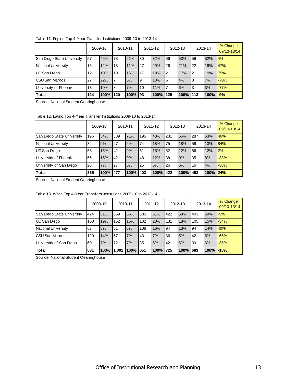|                            |     | 2009-10   |     | 2010-11 |     | 2011-12 |     | 2012-13   |    | 2013-14 | % Change<br>09/10-13/14 |
|----------------------------|-----|-----------|-----|---------|-----|---------|-----|-----------|----|---------|-------------------------|
| San Diego State University | 57  | 46%       | 173 | 61%     | 30  | 32%     | 66  | 53%       | 59 | 52%     | 4%                      |
| National University        | 15  | 12%       | 13  | 11%     | 27  | 29%     | 26  | 21%       | 22 | 19%     | 47%                     |
| UC San Diego               | 12  | 10%       | 19  | 16%     | 17  | 18%     | 21  | 17%       | 21 | 19%     | 75%                     |
| CSU San Marcos             | 27  | 22%       |     | 6%      | 19  | 10%     | I5  | 4%        | 18 | 7%      | $-70%$                  |
| University of Phoenix      | 13  | 10%       | 18  | 7%      | 10  | 11%     |     | 6%        | I3 | 3%      | $-77%$                  |
| Total                      | 124 | 100% 1120 |     | 100%    | 193 | 100%    | 125 | 100% 1113 |    | 100%    | $-9%$                   |

Table 11. Filipino Top 4-Year Transfer Institutions 2009-10 to 2013-14

Source: National Student Clearinghouse

Table 12. Latino Top 4-Year Transfer Institutions 2009-10 to 2013-14

|                            |     | 2009-10 |     | 2010-11 |     | 2011-12 |     | 2012-13 |     | 2013-14  | % Change<br>09/10-13/14 |
|----------------------------|-----|---------|-----|---------|-----|---------|-----|---------|-----|----------|-------------------------|
| San Diego State University | 196 | 54%     | 339 | 71%     | 195 | 48%     | 231 | 55%     | 287 | 63%      | 46%                     |
| National University        | 32  | 9%      | 27  | 6%      | 74  | 18%     | 75  | 18%     | 59  | 13%      | 84%                     |
| UC San Diego               | 55  | 15%     | 42  | 9%      | 61  | 15%     | 52  | 12%     | 56  | 12%      | 2%                      |
| University of Phoenix      | 56  | 15%     | 42  | 9%      | 48  | 12%     | 38  | 9%      | 35  | 8%       | $-38%$                  |
| University of San Diego    | 26  | 7%      | 27  | 6%      | 25  | 6%      | 26  | 6%      | 16  | 4%       | $-38%$                  |
| <b>Total</b>               | 365 | 100%    | 477 | 100%    | 403 | 100%    | 422 | 100%    | 453 | 100% 24% |                         |

Source: National Student Clearinghouse

|                            |     | 2009-10 | 2010-11 |      |      | 2011-12 |      | 2012-13 |     | 2013-14 | % Change<br>09/10-13/14 |
|----------------------------|-----|---------|---------|------|------|---------|------|---------|-----|---------|-------------------------|
| San Diego State University | 424 | 51%     | 659     | 66%  | 335  | 51%     | 422  | 58%     | 403 | 59%     | $-5%$                   |
| UC San Diego               | 160 | 19%     | 152     | 15%  | 132  | 20%     | 131  | 18%     | 105 | 15%     | $-34%$                  |
| National University        | 67  | 8%      | 51      | 5%   | 106  | 16%     | 94   | 13%     | 94  | 14%     | 40%                     |
| <b>I</b> CSU San Marcos    | 120 | 14%     | 67      | 7%   | 43   | 7%      | 36   | 5%      | 42  | 6%      | $-65%$                  |
| University of San Diego    | 60  | 7%      | 72      | 7%   | 35   | 5%      | 42   | 6%      | 39  | 6%      | $-35%$                  |
| <b>Total</b>               | 831 | 100%    | 1,001   | 100% | 1651 | 100%    | 1725 | 100%    | 683 | 100%    | $-18%$                  |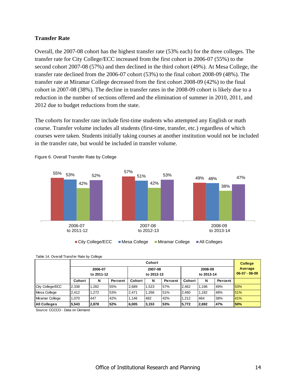#### **Transfer Rate**

Overall, the 2007-08 cohort has the highest transfer rate (53% each) for the three colleges. The transfer rate for City College/ECC increased from the first cohort in 2006-07 (55%) to the second cohort 2007-08 (57%) and then declined in the third cohort (49%). At Mesa College, the transfer rate declined from the 2006-07 cohort (53%) to the final cohort 2008-09 (48%). The transfer rate at Miramar College decreased from the first cohort 2008-09 (42%) to the final cohort in 2007-08 (38%). The decline in transfer rates in the 2008-09 cohort is likely due to a reduction in the number of sections offered and the elimination of summer in 2010, 2011, and 2012 due to budget reductions from the state.

The cohorts for transfer rate include first-time students who attempted any English or math course. Transfer volume includes all students (first-time, transfer, etc.) regardless of which courses were taken. Students initially taking courses at another institution would not be included in the transfer rate, but would be included in transfer volume.



Figure 6. Overall Transfer Rate by College

|                     | Cohort                |       |                       |        |       |                       |        | <b>College</b> |                            |     |
|---------------------|-----------------------|-------|-----------------------|--------|-------|-----------------------|--------|----------------|----------------------------|-----|
|                     | 2006-07<br>to 2011-12 |       | 2007-08<br>to 2012-13 |        |       | 2008-09<br>to 2013-14 |        |                | Average<br>$06-07 - 08-09$ |     |
|                     | Cohort                | N     | Percent               | Cohort | N     | Percent               | Cohort | N              | Percent                    |     |
| City College/ECC    | 2.338                 | .282  | 55%                   | 2.689  | 1.523 | 57%                   | 2.462  | 1.196          | 49%                        | 53% |
| Mesa College        | 2.412                 | 1.272 | 53%                   | 2.471  | 1.266 | 51%                   | 2.460  | 1.182          | 48%                        | 51% |
| Miramar College     | 1.070                 | 447   | 42%                   | 1.146  | 482   | 42%                   | 1.212  | 464            | 38%                        | 41% |
| <b>All Colleges</b> | 5,543                 | 2,878 | 52%                   | 6,005  | 3,153 | 53%                   | 5,772  | 2.692          | 47%                        | 50% |

Table 14. Overall Transfer Rate by College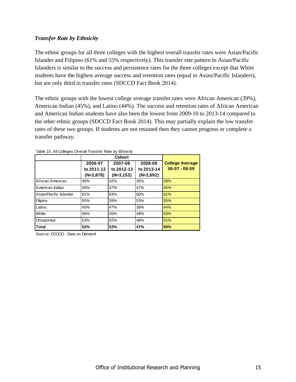### *Transfer Rate by Ethnicity*

The ethnic groups for all three colleges with the highest overall transfer rates were Asian/Pacific Islander and Filipino (61% and 55% respectively). This transfer rate pattern in Asian/Pacific Islanders is similar to the success and persistence rates for the three colleges except that White students have the highest average success and retention rates (equal to Asian/Pacific Islanders), but are only third in transfer rates (SDCCD Fact Book 2014).

The ethnic groups with the lowest college average transfer rates were African American (39%), American Indian (45%), and Latino (44%). The success and retention rates of African American and American Indian students have also been the lowest from 2009-10 to 2013-14 compared to the other ethnic groups (SDCCD Fact Book 2014). This may partially explain the low transfer rates of these two groups. If students are not retained then they cannot progress or complete a transfer pathway.

|                        |             | Cohort       |             |                        |
|------------------------|-------------|--------------|-------------|------------------------|
|                        | 2006-07     | 2007-08      | 2008-09     | <b>College Average</b> |
|                        | to 2011-12  | to 2012-13   | to 2013-14  | $06-07 - 08-09$        |
|                        | $(N=2,878)$ | $(N=3, 153)$ | $(N=2,692)$ |                        |
| African American       | 40%         | 42%          | 35%         | 39%                    |
| American Indian        | 40%         | 47%          | 47%         | 45%                    |
| Asian/Pacific Islander | 61%         | 63%          | 60%         | 61%                    |
| Filipino               | 55%         | 59%          | 53%         | 55%                    |
| Latino                 | 45%         | 47%          | 39%         | 44%                    |
| White                  | 56%         | 55%          | 49%         | 53%                    |
| Unreported             | 53%         | 52%          | 48%         | 51%                    |
| Total                  | 52%         | 53%          | 47%         | 50%                    |

| Table 15. All Colleges Overall Transfer Rate by Ethnicity |  |  |  |  |
|-----------------------------------------------------------|--|--|--|--|
|-----------------------------------------------------------|--|--|--|--|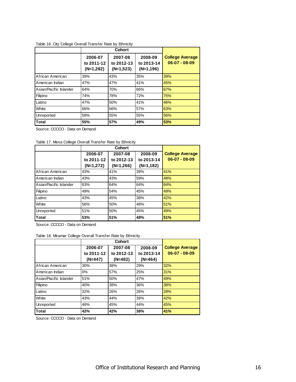#### Table 16. City College Overall Transfer Rate by Ethnicity

|                        |                                      | Cohort                               |                                      |                                           |  |  |  |
|------------------------|--------------------------------------|--------------------------------------|--------------------------------------|-------------------------------------------|--|--|--|
|                        | 2006-07<br>to 2011-12<br>$(N=1,282)$ | 2007-08<br>to 2012-13<br>$(N=1,523)$ | 2008-09<br>to 2013-14<br>$(N=1,196)$ | <b>College Average</b><br>$06-07 - 08-09$ |  |  |  |
| African American       | 39%                                  | 43%                                  | 35%                                  | 39%                                       |  |  |  |
| American Indian        | 47%                                  | 47%                                  | 41%                                  | 45%                                       |  |  |  |
| Asian/Pacific Islander | 64%                                  | 70%                                  | 66%                                  | 67%                                       |  |  |  |
| Filipino               | 74%                                  | 78%                                  | 72%                                  | 75%                                       |  |  |  |
| Latino                 | 47%                                  | 50%                                  | 41%                                  | 46%                                       |  |  |  |
| White                  | 66%                                  | 66%                                  | 57%                                  | 63%                                       |  |  |  |
| Unreported             | 58%                                  | 55%                                  | 55%                                  | 56%                                       |  |  |  |
| <b>Total</b>           | 55%                                  | 57%                                  | 49%                                  | 53%                                       |  |  |  |

Source: CCCCO - Data on Demand

| Table 17. Mesa College Overall Transfer Rate by Ethnicity |  |  |
|-----------------------------------------------------------|--|--|
|-----------------------------------------------------------|--|--|

|                        |             | Cohort      |             |                        |  |  |  |
|------------------------|-------------|-------------|-------------|------------------------|--|--|--|
|                        | 2006-07     | 2007-08     | 2008-09     | <b>College Average</b> |  |  |  |
|                        | to 2011-12  | to 2012-13  | to 2013-14  | $06-07 - 08-09$        |  |  |  |
|                        | $(N=1,272)$ | $(N=1,266)$ | $(N=1,182)$ |                        |  |  |  |
| African American       | 43%         | 41%         | 39%         | 41%                    |  |  |  |
| American Indian        | 43%         | 43%         | 59%         | 48%                    |  |  |  |
| Asian/Pacific Islander | 63%         | 64%         | 64%         | 64%                    |  |  |  |
| Filipino               | 49%         | 54%         | 45%         | 49%                    |  |  |  |
| Latino                 | 43%         | 45%         | 38%         | 42%                    |  |  |  |
| White                  | 56%         | 50%         | 48%         | 51%                    |  |  |  |
| Unreported             | 51%         | 50%         | 45%         | 49%                    |  |  |  |
| lTotal                 | 53%         | 51%         | 48%         | 51%                    |  |  |  |

Source: CCCCO - Data on Demand

Table 18. Miramar College Overall Transfer Rate by Ethnicity

|                        |            | Cohort     |            |                        |  |  |  |
|------------------------|------------|------------|------------|------------------------|--|--|--|
|                        | 2006-07    | 2007-08    | 2008-09    | <b>College Average</b> |  |  |  |
|                        | to 2011-12 | to 2012-13 | to 2013-14 | $06-07 - 08-09$        |  |  |  |
|                        | $(N=447)$  | $(N=482)$  | $(N=464)$  |                        |  |  |  |
| African American       | 30%        | 38%        | 29%        | 32%                    |  |  |  |
| American Indian        | 0%         | 57%        | 25%        | 31%                    |  |  |  |
| Asian/Pacific Islander | 51%        | 50%        | 47%        | 49%                    |  |  |  |
| Filipino               | 40%        | 38%        | 36%        | 38%                    |  |  |  |
| Latino                 | 32%        | 26%        | 26%        | 28%                    |  |  |  |
| White                  | 43%        | 44%        | 39%        | 42%                    |  |  |  |
| Unreported             | 46%        | 45%        | 44%        | 45%                    |  |  |  |
| <b>Total</b>           | 42%        | 42%        | 38%        | 41%                    |  |  |  |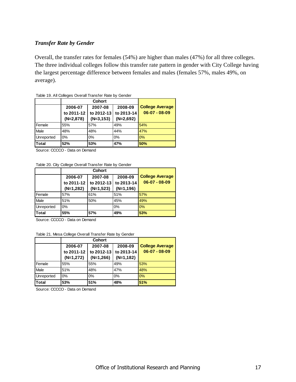#### *Transfer Rate by Gender*

Overall, the transfer rates for females (54%) are higher than males (47%) for all three colleges. The three individual colleges follow this transfer rate pattern in gender with City College having the largest percentage difference between females and males (females 57%, males 49%, on average).

|                   | 2006-07     | 2007-08      | 2008-09     | <b>College Average</b> |
|-------------------|-------------|--------------|-------------|------------------------|
|                   | to 2011-12  | to 2012-13   | to 2013-14  | $06-07 - 08-09$        |
|                   | $(N=2,878)$ | $(N=3, 153)$ | $(N=2,692)$ |                        |
| Female            | 55%         | 57%          | 49%         | 54%                    |
| Male              | 48%         | 48%          | 44%         | 47%                    |
| <b>Unreported</b> | 0%          | 0%           | 0%          | 0%                     |
| <b>Total</b>      | 52%         | 53%          | 47%         | 50%                    |

| Table 19. All Colleges Overall Transfer Rate by Gender |  |  |  |  |
|--------------------------------------------------------|--|--|--|--|
|--------------------------------------------------------|--|--|--|--|

Source: CCCCO - Data on Demand

Table 20. City College Overall Transfer Rate by Gender

|            | 2006-07     | 2007-08     | 2008-09     | <b>College Average</b> |
|------------|-------------|-------------|-------------|------------------------|
|            | to 2011-12  | to 2012-13  | to 2013-14  | $06-07 - 08-09$        |
|            | $(N=1,282)$ | $(N=1,523)$ | $(N=1,196)$ |                        |
| Female     | 57%         | 61%         | 51%         | 57%                    |
| Male       | 51%         | 50%         | 45%         | 49%                    |
| Unreported | $0\%$       |             | 0%          | 0%                     |
| Total      | 55%         | 57%         | 49%         | 53%                    |

Source: CCCCO - Data on Demand

Table 21. Mesa College Overall Transfer Rate by Gender

|                   | 2006-07     | 2007-08     | 2008-09     | <b>College Average</b> |
|-------------------|-------------|-------------|-------------|------------------------|
|                   | to 2011-12  | to 2012-13  | to 2013-14  | $06-07 - 08-09$        |
|                   | $(N=1,272)$ | $(N=1,266)$ | $(N=1,182)$ |                        |
| Female            | 55%         | 55%         | 49%         | 53%                    |
| Male              | 51%         | 48%         | 47%         | 48%                    |
| <b>Unreported</b> | 0%          | 0%          | 0%          | 0%                     |
| <b>ITotal</b>     | 53%         | 51%         | 48%         | 51%                    |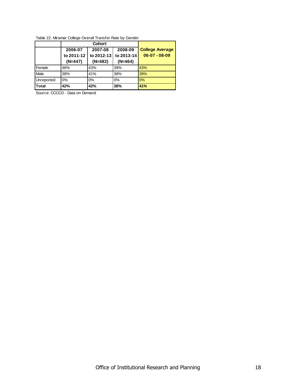|  |  | Table 22. Miramar College Overall Transfer Rate by Gender |  |  |
|--|--|-----------------------------------------------------------|--|--|
|  |  |                                                           |  |  |

|            | 2006-07                 | 2007-08                 | 2008-09                 | <b>College Average</b> |
|------------|-------------------------|-------------------------|-------------------------|------------------------|
|            | to 2011-12<br>$(N=447)$ | to 2012-13<br>$(N=482)$ | to 2013-14<br>$(N=464)$ | $06-07 - 08-09$        |
| Female     | 46%                     | 43%                     | 39%                     | 43%                    |
| Male       | 38%                     | 41%                     | 38%                     | 39%                    |
| Unreported | $0\%$                   | $0\%$                   | $0\%$                   | 0%                     |
| Total      | 42%                     | 42%                     | 38%                     | 41%                    |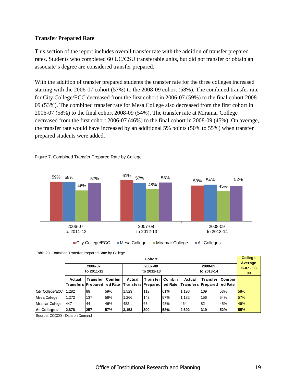#### **Transfer Prepared Rate**

This section of the report includes overall transfer rate with the addition of transfer prepared rates. Students who completed 60 UC/CSU transferable units, but did not transfer or obtain an associate's degree are considered transfer prepared.

With the addition of transfer prepared students the transfer rate for the three colleges increased starting with the 2006-07 cohort (57%) to the 2008-09 cohort (58%). The combined transfer rate for City College/ECC decreased from the first cohort in 2006-07 (59%) to the final cohort 2008- 09 (53%). The combined transfer rate for Mesa College also decreased from the first cohort in 2006-07 (58%) to the final cohort 2008-09 (54%). The transfer rate at Miramar College decreased from the first cohort 2006-07 (46%) to the final cohort in 2008-09 (45%). On average, the transfer rate would have increased by an additional 5% points (50% to 55%) when transfer prepared students were added.



#### Figure 7. Combined Transfer Prepared Rate by College



|                     | Cohort                         |                 |                       |                                      |                       |        |                                              |                   |               | <b>College</b><br>Average |
|---------------------|--------------------------------|-----------------|-----------------------|--------------------------------------|-----------------------|--------|----------------------------------------------|-------------------|---------------|---------------------------|
|                     | 2006-07<br>to 2011-12          |                 | 2007-08<br>to 2012-13 |                                      | 2008-09<br>to 2013-14 |        | $06-07 - 08-$<br>09                          |                   |               |                           |
|                     | Actual<br>Transfers   Prepared | <b>Transfer</b> | <b>Combin</b>         | Actual<br>ed Rate Transfers Prepared | <b>Transfer</b>       | Combin | Actual<br>ed Rate Transfers Prepared ed Rate | <b>Transfer I</b> | <b>Combin</b> |                           |
| City College/ECC    | .282                           | 88              | 59%                   | 1,523                                | 113                   | 61%    | 1.196                                        | 109               | 53%           | 58%                       |
| Mesa College        | 1.272                          | 137             | 58%                   | 1,266                                | 143                   | 57%    | 1.182                                        | 156               | 54%           | 57%                       |
| Miramar College     | 447                            | 44              | 46%                   | 482                                  | 63                    | 48%    | 464                                          | 82                | 45%           | 46%                       |
| <b>All Colleges</b> | 2,878                          | 257             | 57%                   | 3,153                                | 300                   | 58%    | 2,692                                        | 319               | 52%           | 55%                       |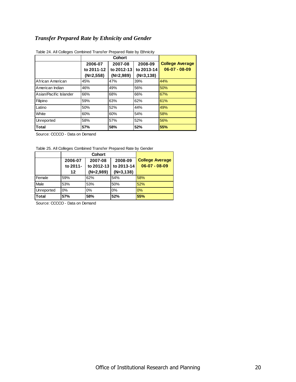## *Transfer Prepared Rate by Ethnicity and Gender*

|                        | 2006-07     | 2007-08     | 2008-09     | <b>College Average</b> |
|------------------------|-------------|-------------|-------------|------------------------|
|                        | to 2011-12  | to 2012-13  | to 2013-14  | $06-07 - 08-09$        |
|                        | $(N=2,558)$ | $(N=2,989)$ | $(N=3,138)$ |                        |
| African American       | 45%         | 47%         | 39%         | 44%                    |
| American Indian        | 46%         | 49%         | 56%         | 50%                    |
| Asian/Pacific Islander | 66%         | 68%         | 66%         | 67%                    |
| Filipino               | 59%         | 63%         | 62%         | 61%                    |
| Latino                 | 50%         | 52%         | 44%         | 49%                    |
| White                  | 60%         | 60%         | 54%         | 58%                    |
| Unreported             | 58%         | 57%         | 52%         | 56%                    |
| Total                  | 57%         | 58%         | 52%         | 55%                    |

Table 24. All Colleges Combined Transfer Prepared Rate by Ethnicity

Source: CCCCO - Data on Demand

Table 25. All Colleges Combined Transfer Prepared Rate by Gender

|              | 2006-07  | 2007-08     | 2008-09     | <b>College Average</b> |
|--------------|----------|-------------|-------------|------------------------|
|              | to 2011- | to 2012-13  | to 2013-14  | $06-07 - 08-09$        |
|              | 12       | $(N=2,989)$ | $(N=3,138)$ |                        |
| Female       | 59%      | 62%         | 54%         | 58%                    |
| Male         | 53%      | 53%         | 50%         | 52%                    |
| Unreported   | 0%       | 0%          | 0%          | 0%                     |
| <b>Total</b> | 57%      | 58%         | 52%         | 55%                    |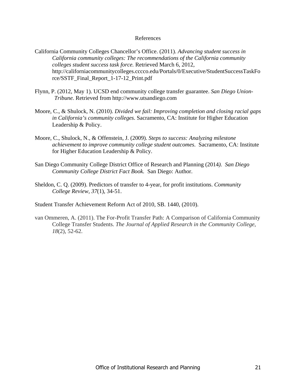#### References

- California Community Colleges Chancellor's Office. (2011). *Advancing student success in California community colleges: The recommendations of the California community colleges student success task force.* Retrieved March 6, 2012, http://californiacommunitycolleges.cccco.edu/Portals/0/Executive/StudentSuccessTaskFo rce/SSTF\_Final\_Report\_1-17-12\_Print.pdf
- Flynn, P. (2012, May 1). UCSD end community college transfer guarantee. *San Diego Union-Tribune.* Retrieved from http://www.utsandiego.com
- Moore, C., & Shulock, N. (2010). *Divided we fail: Improving completion and closing racial gaps in California's community colleges*. Sacramento, CA: Institute for Higher Education Leadership & Policy.
- Moore, C., Shulock, N., & Offenstein, J. (2009). *Steps to success: Analyzing milestone achievement to improve community college student outcomes*. Sacramento, CA: Institute for Higher Education Leadership & Policy.
- San Diego Community College District Office of Research and Planning (2014*). San Diego Community College District Fact Book.* San Diego: Author.
- Sheldon, C. Q. (2009). Predictors of transfer to 4-year, for profit institutions. *Community College Review, 37*(1), 34-51.

Student Transfer Achievement Reform Act of 2010, SB. 1440, (2010).

van Ommeren, A. (2011). The For-Profit Transfer Path: A Comparison of California Community College Transfer Students. *The Journal of Applied Research in the Community College*, *18*(2), 52-62.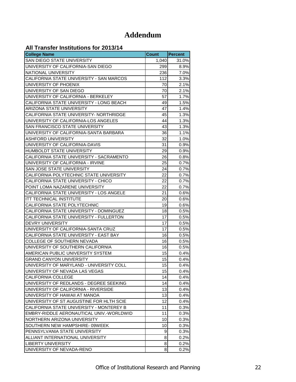# **Addendum**

## **All Transfer Institutions for 2013/14**

| רו ויונוס וטוסוטווטווס וטוב וואסווי<br><b>College Name</b> | <b>Count</b> | <b>Percent</b> |
|------------------------------------------------------------|--------------|----------------|
| SAN DIEGO STATE UNIVERSITY                                 | 1,040        | 31.0%          |
| UNIVERSITY OF CALIFORNIA-SAN DIEGO                         | 299          | 8.9%           |
| NATIONAL UNIVERSITY                                        | 236          | 7.0%           |
| CALIFORNIA STATE UNIVERSITY - SAN MARCOS                   | 112          | 3.3%           |
| UNIVERSITY OF PHOENIX                                      | 70           | 2.1%           |
| UNIVERSITY OF SAN DIEGO                                    | 70           | 2.1%           |
| UNIVERSITY OF CALIFORNIA - BERKELEY                        | 57           | 1.7%           |
| CALIFORNIA STATE UNIVERSITY - LONG BEACH                   | 49           | 1.5%           |
| ARIZONA STATE UNIVERSITY                                   | 47           | 1.4%           |
| CALIFORNIA STATE UNIVERSITY- NORTHRIDGE                    | 45           | 1.3%           |
| UNIVERSITY OF CALIFORNIA-LOS ANGELES                       | 44           | 1.3%           |
| SAN FRANCISCO STATE UNIVERSITY                             | 43           | 1.3%           |
| UNIVERSITY OF CALIFORNIA-SANTA BARBARA                     | 36           | 1.1%           |
| ASHFORD UNIVERSITY                                         | 32           | 1.0%           |
| UNIVERSITY OF CALIFORNIA-DAVIS                             | 31           | 0.9%           |
| HUMBOLDT STATE UNIVERSITY                                  | 29           | 0.9%           |
| CALIFORNIA STATE UNIVERSITY - SACRAMENTO                   | 26           | 0.8%           |
| UNIVERSITY OF CALIFORNIA - IRVINE                          | 25           | 0.7%           |
| SAN JOSE STATE UNIVERSITY                                  | 24           | 0.7%           |
| CALIFORNIA POLYTECHNIC STATE UNIVERSITY                    | 22           | 0.7%           |
| CALIFORNIA STATE UNIVERSITY - CHICO                        | 22           | 0.7%           |
| POINT LOMA NAZARENE UNIVERSITY                             | 22           | 0.7%           |
| CALIFORNIA STATE UNIVERSITY - LOS ANGELE                   | 21           | 0.6%           |
| ITT TECHNICAL INSTITUTE                                    | 20           | 0.6%           |
| CALIFORNIA STATE POLYTECHNIC                               | 19           | 0.6%           |
| CALIFORNIA STATE UNIVERSITY - DOMINGUEZ                    | 18           | 0.5%           |
| CALIFORNIA STATE UNIVERSITY - FULLERTON                    | 17           | 0.5%           |
| <b>DEVRY UNIVERSITY</b>                                    | 17           | 0.5%           |
| UNIVERSITY OF CALIFORNIA-SANTA CRUZ                        | 17           | 0.5%           |
| CALIFORNIA STATE UNIVERSITY - EAST BAY                     | 16           | 0.5%           |
| COLLEGE OF SOUTHERN NEVADA                                 | 16           | 0.5%           |
| UNIVERSITY OF SOUTHERN CALIFORNIA                          | 16           | 0.5%           |
| AMERICAN PUBLIC UNIVERSITY SYSTEM                          | 15           | 0.4%           |
| <b>GRAND CANYON UNIVERSITY</b>                             | 15           | 0.4%           |
| UNIVERSITY OF MARYLAND - UNIVERSITY COLL                   | 15           | 0.4%           |
| UNIVERSITY OF NEVADA LAS VEGAS                             | 15           | 0.4%           |
| <b>CALIFORNIA COLLEGE</b>                                  | 14           | 0.4%           |
| UNIVERSITY OF REDLANDS - DEGREE SEEKING                    | 14           | 0.4%           |
| UNIVERSITY OF CALIFORNIA - RIVERSIDE                       | 13           | 0.4%           |
| UNIVERSITY OF HAWAII AT MANOA                              | 13           | 0.4%           |
| UNIVERSITY OF ST AUGUSTINE FOR HLTH SCIE                   | 12           | 0.4%           |
| CALIFORNIA STATE UNIVERSITY - MONTEREY B                   | 11           | 0.3%           |
| EMBRY-RIDDLE AERONAUTICAL UNIV.-WORLDWID                   | 11           | 0.3%           |
| NORTHERN ARIZONA UNIVERSITY                                | 10           | 0.3%           |
| SOUTHERN NEW HAMPSHIRE-09WEEK                              | 10           | 0.3%           |
| PENNSYLVANIA STATE UNIVERSITY                              | 9            | 0.3%           |
| ALLIANT INTERNATIONAL UNIVERSITY                           | 8            | 0.2%           |
| <b>LIBERTY UNIVERSITY</b>                                  | 8            | 0.2%           |
| UNIVERSITY OF NEVADA-RENO                                  | 8            | 0.2%           |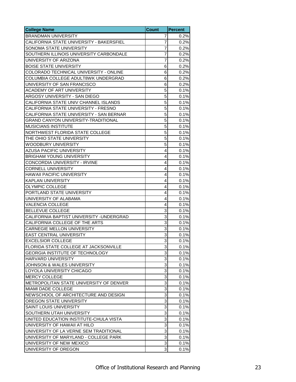| <b>College Name</b>                        | <b>Count</b>              | <b>Percent</b> |
|--------------------------------------------|---------------------------|----------------|
| <b>BRANDMAN UNIVERSITY</b>                 | 7                         | 0.2%           |
| CALIFORNIA STATE UNIVERSITY - BAKERSFIEL   | 7                         | 0.2%           |
| SONOMA STATE UNIVERSITY                    | 7                         | 0.2%           |
| SOUTHERN ILLINOIS UNIVERSITY CARBONDALE    | 7                         | 0.2%           |
| UNIVERSITY OF ARIZONA                      | $\overline{7}$            | 0.2%           |
| <b>BOISE STATE UNIVERSITY</b>              | 6                         | 0.2%           |
| COLORADO TECHNICAL UNIVERSITY - ONLINE     | 6                         | 0.2%           |
| COLUMBIA COLLEGE ADULT8WK UNDERGRAD        | 6                         | 0.2%           |
| UNIVERSITY OF SAN FRANCISCO                | 6                         | 0.2%           |
| ACADEMY OF ART UNIVERSITY                  | 5                         | 0.1%           |
| ARGOSY UNIVERSITY - SAN DIEGO              | 5                         | 0.1%           |
| CALIFORNIA STATE UNIV CHANNEL ISLANDS      | 5                         | 0.1%           |
| CALIFORNIA STATE UNIVERSITY - FRESNO       | 5                         | 0.1%           |
| CALIFORNIA STATE UNIVERSITY - SAN BERNAR   | 5                         | 0.1%           |
| <b>GRAND CANYON UNIVERSITY-TRADITIONAL</b> | 5                         | 0.1%           |
| <b>MUSICIANS INSTITUTE</b>                 | 5                         | 0.1%           |
| NORTHWEST FLORIDA STATE COLLEGE            | 5                         | 0.1%           |
| THE OHIO STATE UNIVERSITY                  | 5                         | 0.1%           |
| <b>WOODBURY UNIVERSITY</b>                 | 5                         | 0.1%           |
| AZUSA PACIFIC UNIVERSITY                   | 4                         | 0.1%           |
| <b>BRIGHAM YOUNG UNIVERSITY</b>            | 4                         | 0.1%           |
| CONCORDIA UNIVERSITY - IRVINE              | 4                         | 0.1%           |
| <b>CORNELL UNIVERSITY</b>                  | 4                         | 0.1%           |
| HAWAII PACIFIC UNIVERSITY                  | 4                         | 0.1%           |
| <b>KAPLAN UNIVERSITY</b>                   | 4                         | 0.1%           |
| <b>OLYMPIC COLLEGE</b>                     | 4                         | 0.1%           |
| PORTLAND STATE UNIVERSITY                  | 4                         | 0.1%           |
| UNIVERSITY OF ALABAMA                      | 4                         | 0.1%           |
| <b>VALENCIA COLLEGE</b>                    | 4                         | 0.1%           |
| <b>BELLEVUE COLLEGE</b>                    | 3                         | 0.1%           |
| CALIFORNIA BAPTIST UNIVERSITY - UNDERGRAD  | 3                         | 0.1%           |
| CALIFORNIA COLLEGE OF THE ARTS             | $\overline{3}$            | 0.1%           |
| <b>CARNEGIE MELLON UNIVERSITY</b>          | 3                         | 0.1%           |
| <b>EAST CENTRAL UNIVERSITY</b>             | 3                         | 0.1%           |
| <b>EXCELSIOR COLLEGE</b>                   | ω                         | 0.1%           |
| FLORIDA STATE COLLEGE AT JACKSONVILLE      | 3                         | 0.1%           |
| GEORGIA INSTITUTE OF TECHNOLOGY            | 3                         | 0.1%           |
| HARVARD UNIVERSITY                         | 3                         | 0.1%           |
| <b>JOHNSON &amp; WALES UNIVERSITY</b>      | 3                         | 0.1%           |
| LOYOLA UNIVERSITY CHICAGO                  | 3                         | 0.1%           |
| <b>MERCY COLLEGE</b>                       | 3                         | 0.1%           |
| METROPOLITAN STATE UNIVERSITY OF DENVER    | 3                         | 0.1%           |
| MIAMI DADE COLLEGE                         | $\overline{3}$            | 0.1%           |
| NEWSCHOOL OF ARCHITECTURE AND DESIGN       | 3                         | 0.1%           |
| OREGON STATE UNIVERSITY                    | 3                         | 0.1%           |
| SAINT LOUIS UNIVERSITY                     | 3                         | 0.1%           |
| SOUTHERN UTAH UNIVERSITY                   | $\ensuremath{\mathsf{3}}$ | 0.1%           |
| UNITED EDUCATION INSTITUTE-CHULA VISTA     | 3                         | 0.1%           |
| UNIVERSITY OF HAWAII AT HILO               | 3                         | 0.1%           |
| UNIVERSITY OF LA VERNE SEM TRADITIONAL     | 3                         | 0.1%           |
| UNIVERSITY OF MARYLAND - COLLEGE PARK      | 3                         | 0.1%           |
| UNIVERSITY OF NEW MEXICO                   | 3                         | 0.1%           |
| UNIVERSITY OF OREGON                       | 3                         | 0.1%           |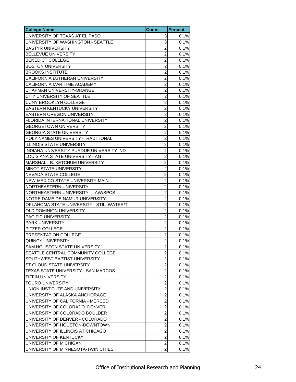| <b>College Name</b>                      | <b>Count</b>            | <b>Percent</b> |
|------------------------------------------|-------------------------|----------------|
| UNIVERSITY OF TEXAS AT EL PASO           | 3                       | 0.1%           |
| UNIVERSITY OF WASHINGTON - SEATTLE       | 3                       | 0.1%           |
| <b>BASTYR UNIVERSITY</b>                 | $\overline{2}$          | 0.1%           |
| <b>BELLEVUE UNIVERSITY</b>               | $\overline{2}$          | 0.1%           |
| <b>BENEDICT COLLEGE</b>                  | $\overline{c}$          | 0.1%           |
| <b>BOSTON UNIVERSITY</b>                 | $\overline{2}$          | 0.1%           |
| <b>BROOKS INSTITUTE</b>                  | $\overline{2}$          | 0.1%           |
| CALIFORNIA LUTHERAN UNIVERSITY           | $\overline{c}$          | 0.1%           |
| CALIFORNIA MARITIME ACADEMY              | $\overline{2}$          | 0.1%           |
| CHAPMAN UNIVERSITY-ORANGE                | $\overline{2}$          | 0.1%           |
| CITY UNIVERSITY OF SEATTLE               | $\overline{c}$          | 0.1%           |
| CUNY BROOKLYN COLLEGE                    | $\overline{c}$          | 0.1%           |
| EASTERN KENTUCKY UNIVERSITY              | $\overline{2}$          | 0.1%           |
| <b>EASTERN OREGON UNIVERSITY</b>         | $\overline{2}$          | 0.1%           |
| FLORIDA INTERNATIONAL UNIVERSITY         | $\overline{2}$          | 0.1%           |
| <b>GEORGETOWN UNIVERSITY</b>             | $\overline{2}$          | 0.1%           |
| <b>GEORGIA STATE UNIVERSITY</b>          | $\overline{c}$          | 0.1%           |
|                                          | $\overline{2}$          | 0.1%           |
| HOLY NAMES UNIVERSITY -TRADITIONAL       | $\overline{2}$          |                |
| <b>ILLINOIS STATE UNIVERSITY</b>         |                         | 0.1%           |
| INDIANA UNIVERSITY PURDUE UNIVERSITY IND | $\overline{c}$          | 0.1%           |
| LOUISIANA STATE UNIVERSITY - AG          | $\overline{2}$          | 0.1%           |
| MARSHALL B. KETCHUM UNIVERSITY           | $\overline{2}$          | 0.1%           |
| MINOT STATE UNIVERSITY                   | $\overline{\mathbf{c}}$ | 0.1%           |
| NEVADA STATE COLLEGE                     | $\overline{c}$          | 0.1%           |
| NEW MEXICO STATE UNIVERSITY-MAIN         | $\overline{2}$          | 0.1%           |
| NORTHEASTERN UNIVERSITY                  | $\overline{c}$          | 0.1%           |
| NORTHEASTERN UNIVERSITY - LAW/SPCS       | $\overline{2}$          | 0.1%           |
| NOTRE DAME DE NAMUR UNIVERSITY           | $\overline{2}$          | 0.1%           |
| OKLAHOMA STATE UNIVERSITY - STILLWATER/T | $\overline{2}$          | 0.1%           |
| OLD DOMINION UNIVERSITY                  | $\overline{c}$          | 0.1%           |
| PACIFIC UNIVERSITY                       | $\overline{2}$          | 0.1%           |
| PARK UNIVERSITY                          | $\overline{2}$          | 0.1%           |
| PITZER COLLEGE                           | $\overline{2}$          | 0.1%           |
| PRESENTATION COLLEGE                     | $\overline{c}$          | 0.1%           |
| <b>QUINCY UNIVERSITY</b>                 | $\overline{2}$          | 0.1%           |
| <b>SAM HOUSTON STATE UNIVERSITY</b>      | 2                       | 0.1%           |
| SEATTLE CENTRAL COMMUNITY COLLEGE        | $\overline{c}$          | 0.1%           |
| SOUTHWEST BAPTIST UNIVERSITY             | $\overline{c}$          | 0.1%           |
| ST CLOUD STATE UNIVERSITY                | $\overline{c}$          | 0.1%           |
| TEXAS STATE UNIVERSITY - SAN MARCOS      | $\overline{c}$          | 0.1%           |
| <b>TIFFIN UNIVERSITY</b>                 | $\overline{2}$          | 0.1%           |
| TOURO UNIVERSITY                         | $\overline{c}$          | 0.1%           |
| UNION INSTITUTE AND UNIVERSITY           | $\overline{2}$          | 0.1%           |
| UNIVERSITY OF ALASKA ANCHORAGE           | $\overline{c}$          | 0.1%           |
| UNIVERSITY OF CALIFORNIA - MERCED        | $\overline{\mathbf{c}}$ | 0.1%           |
| UNIVERSITY OF COLORADO DENVER            | $\overline{c}$          | 0.1%           |
| UNIVERSITY OF COLORADO BOULDER           | $\overline{2}$          | 0.1%           |
| UNIVERSITY OF DENVER - COLORADO          | $\overline{\mathbf{c}}$ | 0.1%           |
| UNIVERSITY OF HOUSTON-DOWNTOWN           | $\overline{c}$          | 0.1%           |
| UNIVERSITY OF ILLINOIS AT CHICAGO        | $\overline{\mathbf{c}}$ | 0.1%           |
| UNIVERSITY OF KENTUCKY                   | $\overline{c}$          | 0.1%           |
| UNIVERSITY OF MICHIGAN                   | $\overline{2}$          | 0.1%           |
| UNIVERSITY OF MINNESOTA-TWIN CITIES      | $\overline{\mathbf{c}}$ | 0.1%           |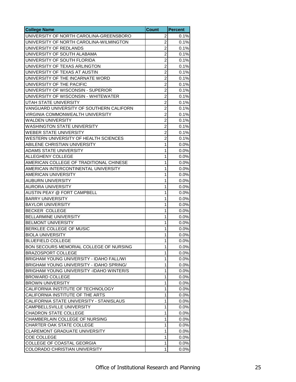| <b>College Name</b>                      | <b>Count</b>   | <b>Percent</b> |
|------------------------------------------|----------------|----------------|
| UNIVERSITY OF NORTH CAROLINA-GREENSBORO  | 2              | 0.1%           |
| UNIVERSITY OF NORTH CAROLINA-WILMINGTON  | $\overline{2}$ | 0.1%           |
| UNIVERSITY OF REDLANDS                   | $\overline{c}$ | 0.1%           |
| UNIVERSITY OF SOUTH ALABAMA              | $\overline{2}$ | 0.1%           |
| UNIVERSITY OF SOUTH FLORIDA              | $\overline{2}$ | 0.1%           |
| UNIVERSITY OF TEXAS ARLINGTON            | $\overline{c}$ | 0.1%           |
| UNIVERSITY OF TEXAS AT AUSTIN            | $\overline{c}$ | 0.1%           |
| UNIVERSITY OF THE INCARNATE WORD         | $\overline{2}$ | 0.1%           |
| UNIVERSITY OF THE PACIFIC                | $\overline{2}$ | 0.1%           |
| UNIVERSITY OF WISCONSIN - SUPERIOR       | $\overline{2}$ | 0.1%           |
| UNIVERSITY OF WISCONSIN - WHITEWATER     | $\overline{2}$ | 0.1%           |
| UTAH STATE UNIVERSITY                    | $\overline{c}$ | 0.1%           |
| VANGUARD UNIVERSITY OF SOUTHERN CALIFORN | $\overline{c}$ | 0.1%           |
| VIRGINIA COMMONWEALTH UNIVERSITY         | $\overline{2}$ | 0.1%           |
| WALDEN UNIVERSITY                        | $\overline{2}$ | 0.1%           |
| <b>WASHINGTON STATE UNIVERSITY</b>       | $\overline{c}$ | 0.1%           |
| <b>WEBER STATE UNIVERSITY</b>            | $\overline{2}$ | 0.1%           |
| WESTERN UNIVERSITY OF HEALTH SCIENCES    | $\overline{2}$ | 0.1%           |
| ABILENE CHRISTIAN UNIVERSITY             | 1              | 0.0%           |
| <b>ADAMS STATE UNIVERSITY</b>            | 1              | 0.0%           |
| ALLEGHENY COLLEGE                        | 1              | 0.0%           |
| AMERICAN COLLEGE OF TRADITIONAL CHINESE  | 1              | 0.0%           |
| AMERICAN INTERCONTINENTAL UNIVERSITY     | 1              | 0.0%           |
| AMERICAN UNIVERSITY                      | 1              | 0.0%           |
| <b>AUBURN UNIVERSITY</b>                 | 1              | 0.0%           |
| <b>AURORA UNIVERSITY</b>                 | 1              | 0.0%           |
| AUSTIN PEAY @ FORT CAMPBELL              | 1              | 0.0%           |
| <b>BARRY UNIVERSITY</b>                  | 1              | 0.0%           |
| <b>BAYLOR UNIVERSITY</b>                 | 1              | 0.0%           |
| <b>BECKER COLLEGE</b>                    | 1              | 0.0%           |
| BELLARMINE UNIVERSITY                    | 1              | 0.0%           |
| <b>BELMONT UNIVERSITY</b>                | 1              | $0.0\%$        |
| BERKLEE COLLEGE OF MUSIC                 | 1              | 0.0%           |
| <b>BIOLA UNIVERSITY</b>                  | 1              | 0.0%           |
| IBLUEFIELD COLLEGE                       | $\mathbf{1}$   | 0.0%           |
| BON SECOURS MEMORIAL COLLEGE OF NURSING  | 1              | 0.0%           |
| <b>BRAZOSPORT COLLEGE</b>                | 1              | 0.0%           |
| BRIGHAM YOUNG UNIVERSITY - IDAHO FALL/WI | 1              | 0.0%           |
| BRIGHAM YOUNG UNIVERSITY - IDAHO SPRING/ | 1              | 0.0%           |
| BRIGHAM YOUNG UNIVERSITY -IDAHO WINTER/S | 1              | 0.0%           |
| <b>BROWARD COLLEGE</b>                   | 1              | 0.0%           |
| <b>BROWN UNIVERSITY</b>                  | 1              | 0.0%           |
| CALIFORNIA INSTITUTE OF TECHNOLOGY       | 1              | 0.0%           |
| CALIFORNIA INSTITUTE OF THE ARTS         | 1              | 0.0%           |
| CALIFORNIA STATE UNIVERSITY - STANISLAUS | 1              | 0.0%           |
| <b>CAMPBELLSVILLE UNIVERSITY</b>         | 1              | 0.0%           |
| <b>CHADRON STATE COLLEGE</b>             | 1              | 0.0%           |
| CHAMBERLAIN COLLEGE OF NURSING           | 1              | 0.0%           |
| CHARTER OAK STATE COLLEGE                | 1              | 0.0%           |
| CLAREMONT GRADUATE UNIVERSITY            | 1              | 0.0%           |
| COE COLLEGE                              | 1              | 0.0%           |
| COLLEGE OF COASTAL GEORGIA               | 1              | 0.0%           |
| COLORADO CHRISTIAN UNIVERSITY            | 1              | 0.0%           |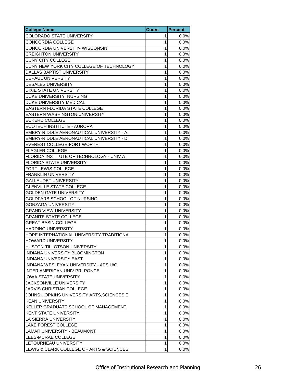| <b>College Name</b>                       | <b>Count</b> | <b>Percent</b> |
|-------------------------------------------|--------------|----------------|
| COLORADO STATE UNIVERSITY                 | 1            | 0.0%           |
| <b>CONCORDIA COLLEGE</b>                  | 1            | 0.0%           |
| CONCORDIA UNIVERSITY- WISCONSIN           | 1            | 0.0%           |
| <b>CREIGHTON UNIVERSITY</b>               | 1            | 0.0%           |
| <b>CUNY CITY COLLEGE</b>                  | 1            | 0.0%           |
| CUNY NEW YORK CITY COLLEGE OF TECHNOLOGY  | 1            | 0.0%           |
| DALLAS BAPTIST UNIVERSITY                 | 1            | 0.0%           |
| DEPAUL UNIVERSITY                         | 1            | 0.0%           |
| <b>DESALES UNIVERSITY</b>                 | 1            | 0.0%           |
| <b>DIXIE STATE UNIVERSITY</b>             | 1            | 0.0%           |
| DUKE UNIVERSITY NURSING                   | 1            | 0.0%           |
| DUKE UNIVERSITY MEDICAL                   | 1            | 0.0%           |
| EASTERN FLORIDA STATE COLLEGE             | 1            | 0.0%           |
| EASTERN WASHINGTON UNIVERSITY             | 1            | 0.0%           |
| <b>ECKERD COLLEGE</b>                     | 1            | 0.0%           |
| ECOTECH INSTITUTE - AURORA                | 1            | 0.0%           |
| EMBRY-RIDDLE AERONAUTICAL UNIVERSITY - A  | 1            | 0.0%           |
| EMBRY-RIDDLE AERONAUTICAL UNIVERSITY - D  | 1            | 0.0%           |
| EVEREST COLLEGE-FORT WORTH                | 1            | 0.0%           |
| <b>FLAGLER COLLEGE</b>                    | 1            | 0.0%           |
| FLORIDA INSTITUTE OF TECHNOLOGY - UNIV A  | 1            | 0.0%           |
| FLORIDA STATE UNIVERSITY                  | 1            | 0.0%           |
| FORT LEWIS COLLEGE                        | 1            | 0.0%           |
| <b>FRANKLIN UNIVERSITY</b>                | 1            | 0.0%           |
| <b>GALLAUDET UNIVERSITY</b>               | 1            | $0.0\%$        |
| <b>GLENVILLE STATE COLLEGE</b>            | 1            | 0.0%           |
| <b>GOLDEN GATE UNIVERSITY</b>             | 1            | 0.0%           |
| GOLDFARB SCHOOL OF NURSING                | 1            | 0.0%           |
| <b>GONZAGA UNIVERSITY</b>                 | 1            | 0.0%           |
| <b>GRAND VIEW UNIVERSITY</b>              | 1            | 0.0%           |
| <b>GRANITE STATE COLLEGE</b>              | 1            | 0.0%           |
| <b>GREAT BASIN COLLEGE</b>                | 1            | 0.0%           |
| <b>HARDING UNIVERSITY</b>                 | 1            | 0.0%           |
| HOPE INTERNATIONAL UNIVERSITY-TRADITIONA  | 1            | 0.0%           |
| <b>HOWARD UNIVERSITY</b>                  | $\mathbf{1}$ | 0.0%           |
| HUSTON-TILLOTSON UNIVERSITY               | 1            | 0.0%           |
| INDIANA UNIVERSITY BLOOMINGTON            | 1            | 0.0%           |
| <b>INDIANA UNIVERSITY EAST</b>            | 1            | 0.0%           |
| INDIANA WESLEYAN UNIVERSITY - APS U/G     | 1            | 0.0%           |
| <b>INTER AMERICAN UNIV PR- PONCE</b>      | 1            | 0.0%           |
| <b>IOWA STATE UNIVERSITY</b>              | 1            | 0.0%           |
| JACKSONVILLE UNIVERSITY                   | 1            | 0.0%           |
| <b>JARVIS CHRISTIAN COLLEGE</b>           | 1            | 0.0%           |
| JOHNS HOPKINS UNIVERSITY ARTS, SCIENCES E | 1            | 0.0%           |
| <b>KEAN UNIVERSITY</b>                    | 1            | 0.0%           |
| KELLER GRADUATE SCHOOL OF MANAGEMENT      | 1            | 0.0%           |
| <b>KENT STATE UNIVERSITY</b>              | 1            | 0.0%           |
| LA SIERRA UNIVERSITY                      | 1            |                |
| <b>LAKE FOREST COLLEGE</b>                | 1            | 0.0%<br>0.0%   |
| LAMAR UNIVERSITY - BEAUMONT               | 1            | $0.0\%$        |
| LEES-MCRAE COLLEGE                        | 1            | 0.0%           |
| LETOURNEAU UNIVERSITY                     | 1            | 0.0%           |
| LEWIS & CLARK COLLEGE OF ARTS & SCIENCES  | 1            | 0.0%           |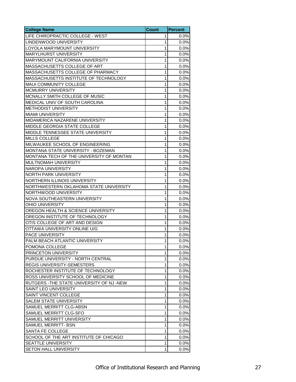| <b>College Name</b>                                                     | <b>Count</b> | <b>Percent</b> |
|-------------------------------------------------------------------------|--------------|----------------|
| LIFE CHIROPRACTIC COLLEGE - WEST                                        | 1            | 0.0%           |
| LINDENWOOD UNIVERSITY                                                   | 1            | 0.0%           |
| LOYOLA MARYMOUNT UNIVERSITY                                             | 1            | 0.0%           |
| <b>MARYLHURST UNIVERSITY</b>                                            | 1            | 0.0%           |
| MARYMOUNT CALIFORNIA UNIVERSITY                                         | 1            | 0.0%           |
| MASSACHUSETTS COLLEGE OF ART                                            | 1            | 0.0%           |
| MASSACHUSETTS COLLEGE OF PHARMACY                                       | 1            | 0.0%           |
| MASSACHUSETTS INSTITUTE OF TECHNOLOGY                                   | 1            | 0.0%           |
| MAUI COMMUNITY COLLEGE                                                  | 1            | 0.0%           |
| MCMURRY UNIVERSITY                                                      | 1            | 0.0%           |
| MCNALLY SMITH COLLEGE OF MUSIC                                          | 1            | 0.0%           |
| MEDICAL UNIV OF SOUTH CAROLINA                                          | 1            | 0.0%           |
| <b>METHODIST UNIVERSITY</b>                                             | 1            | 0.0%           |
| <b>MIAMI UNIVERSITY</b>                                                 | 1            | 0.0%           |
| MIDAMERICA NAZARENE UNIVERSITY                                          | 1            | 0.0%           |
| MIDDLE GEORGIA STATE COLLEGE                                            | 1            | 0.0%           |
| MIDDLE TENNESSEE STATE UNIVERSITY                                       | 1            | 0.0%           |
| <b>MILLS COLLEGE</b>                                                    | 1            | 0.0%           |
| MILWAUKEE SCHOOL OF ENGINEERING                                         | 1            | 0.0%           |
| MONTANA STATE UNIVERSITY - BOZEMAN                                      | 1            | 0.0%           |
| MONTANA TECH OF THE UNIVERSITY OF MONTAN                                | 1            | 0.0%           |
| MULTNOMAH UNIVERSITY                                                    | 1            | 0.0%           |
| NAROPA UNIVERSITY                                                       | 1            | 0.0%           |
| <b>NORTH PARK UNIVERSITY</b>                                            | 1            | 0.0%           |
| NORTHERN ILLINOIS UNIVERSITY                                            | 1            | $0.0\%$        |
| NORTHWESTERN OKLAHOMA STATE UNIVERSITY                                  | 1            | 0.0%           |
| NORTHWOOD UNIVERSITY                                                    | 1            | 0.0%           |
| NOVA SOUTHEASTERN UNIVERSITY                                            | 1            | 0.0%           |
| <b>OHIO UNIVERSITY</b>                                                  | 1            | 0.0%           |
| OREGON HEALTH & SCIENCE UNIVERSITY                                      | 1            |                |
| OREGON INSTITUTE OF TECHNOLOGY                                          | 1            | 0.0%<br>0.0%   |
| OTIS COLLEGE OF ART AND DESIGN                                          | 1            | 0.0%           |
| OTTAWA UNIVERSITY ONLINE U/G                                            | 1            | 0.0%           |
| PACE UNIVERSITY                                                         | 1            | 0.0%           |
|                                                                         | $\mathbf{1}$ |                |
| PALM BEACH ATLANTIC UNIVERSITY<br>POMONA COLLEGE                        | 1            | 0.0%<br>0.0%   |
|                                                                         | $\mathbf{1}$ |                |
| PRINCETON UNIVERSITY<br>PURDUE UNIVERSITY - NORTH CENTRAL               | 1            | 0.0%           |
|                                                                         | 1            | 0.0%           |
| REGIS UNIVERSITY-SEMESTERS                                              |              | 0.0%           |
| ROCHESTER INSTITUTE OF TECHNOLOGY<br>ROSS UNIVERSITY SCHOOL OF MEDICINE | 1            | 0.0%           |
|                                                                         | 1            | 0.0%           |
| RUTGERS - THE STATE UNIVERSITY OF NJ - NEW                              | 1            | 0.0%           |
| SAINT LEO UNIVERSITY                                                    | $\mathbf 1$  | 0.0%           |
| SAINT VINCENT COLLEGE                                                   | 1            | 0.0%           |
| <b>SALEM STATE UNIVERSITY</b>                                           | 1            | 0.0%           |
| SAMUEL MERRITT CLG-ABSN                                                 | 1            | 0.0%           |
| SAMUEL MERRITT CLG-SFO                                                  | 1            | 0.0%           |
| SAMUEL MERRITT UNIVERSITY                                               | 1            | 0.0%           |
| SAMUEL MERRITT- BSN                                                     | 1            | 0.0%           |
| SANTA FE COLLEGE                                                        | 1            | 0.0%           |
| SCHOOL OF THE ART INSTITUTE OF CHICAGO                                  | 1            | 0.0%           |
| SEATTLE UNIVERSITY                                                      | 1            | 0.0%           |
| SETON HALL UNIVERSITY                                                   | 1            | 0.0%           |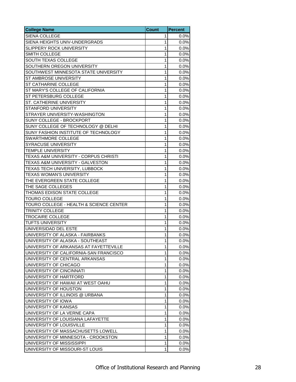| <b>College Name</b>                     | <b>Count</b> | <b>Percent</b> |
|-----------------------------------------|--------------|----------------|
| SIENA COLLEGE                           | 1            | 0.0%           |
| SIENA HEIGHTS UNIV-UNDERGRADS           | 1            | 0.0%           |
| SLIPPERY ROCK UNIVERSITY                | 1            | 0.0%           |
| SMITH COLLEGE                           | 1            | 0.0%           |
| SOUTH TEXAS COLLEGE                     | 1            | 0.0%           |
| SOUTHERN OREGON UNIVERSITY              | 1            | 0.0%           |
| SOUTHWEST MINNESOTA STATE UNIVERSITY    | 1            | 0.0%           |
| ST AMBROSE UNIVERSITY                   | 1            | 0.0%           |
| ST CATHARINE COLLEGE                    | 1            | 0.0%           |
| ST MARY'S COLLEGE OF CALIFORNIA         | 1            | 0.0%           |
| ST PETERSBURG COLLEGE                   | 1            | 0.0%           |
| ST. CATHERINE UNIVERSITY                | 1            | 0.0%           |
| STANFORD UNIVERSITY                     | 1            | 0.0%           |
| STRAYER UNIVERSITY-WASHINGTON           | 1            | 0.0%           |
| SUNY COLLEGE - BROCKPORT                | 1            | 0.0%           |
| SUNY COLLEGE OF TECHNOLOGY @ DELHI      | 1            | 0.0%           |
| SUNY FASHION INSTITUTE OF TECHNOLOGY    | 1            | 0.0%           |
| <b>SWARTHMORE COLLEGE</b>               | 1            | 0.0%           |
| <b>SYRACUSE UNIVERSITY</b>              | 1            | 0.0%           |
| <b>TEMPLE UNIVERSITY</b>                | 1            | 0.0%           |
| TEXAS A&M UNIVERSITY - CORPUS CHRISTI   | 1            | 0.0%           |
| TEXAS A&M UNIVERSITY - GALVESTON        | 1            | 0.0%           |
| TEXAS TECH UNIVERSITY, LUBBOCK          | 1            | 0.0%           |
| TEXAS WOMAN'S UNIVERSITY                | 1            | 0.0%           |
| THE EVERGREEN STATE COLLEGE             | 1            | 0.0%           |
| THE SAGE COLLEGES                       | 1            | 0.0%           |
| THOMAS EDISON STATE COLLEGE             | 1            | 0.0%           |
| <b>TOURO COLLEGE</b>                    | 1            | 0.0%           |
| TOURO COLLEGE - HEALTH & SCIENCE CENTER | 1            | 0.0%           |
| TRINITY COLLEGE                         | 1            | 0.0%           |
| TROCAIRE COLLEGE                        | 1            | 0.0%           |
| <b>TUFTS UNIVERSITY</b>                 | 1            | 0.0%           |
| UNIVERSIDAD DEL ESTE                    | 1            | 0.0%           |
| UNIVERSITY OF ALASKA - FAIRBANKS        | 1            | 0.0%           |
| UNIVERSITY OF ALASKA - SOUTHEAST        | $\mathbf{1}$ | 0.0%           |
| UNIVERSITY OF ARKANSAS AT FAYETTEVILLE  | 1            | 0.0%           |
| UNIVERSITY OF CALIFORNIA-SAN FRANCISCO  | 1            | 0.0%           |
| UNIVERSITY OF CENTRAL ARKANSAS          | 1            | 0.0%           |
| UNIVERSITY OF CHICAGO                   | 1            | 0.0%           |
| UNIVERSITY OF CINCINNATI                | 1            | 0.0%           |
| UNIVERSITY OF HARTFORD                  | 1            | 0.0%           |
| UNIVERSITY OF HAWAII AT WEST OAHU       | 1            | 0.0%           |
| UNIVERSITY OF HOUSTON                   | 1            | $0.0\%$        |
| UNIVERSITY OF ILLINOIS @ URBANA         | 1            | 0.0%           |
| UNIVERSITY OF IOWA                      | 1            | 0.0%           |
| UNIVERSITY OF KANSAS                    | 1            | 0.0%           |
| UNIVERSITY OF LA VERNE CAPA             | 1            | 0.0%           |
| UNIVERSITY OF LOUISIANA LAFAYETTE       | 1            | 0.0%           |
| UNIVERSITY OF LOUISVILLE                | 1            | 0.0%           |
| UNIVERSITY OF MASSACHUSETTS LOWELL      | 1            | 0.0%           |
| UNIVERSITY OF MINNESOTA - CROOKSTON     | 1            | 0.0%           |
| UNIVERSITY OF MISSISSIPPI               | 1            | 0.0%           |
| UNIVERSITY OF MISSOURI-ST LOUIS         | 1            | 0.0%           |